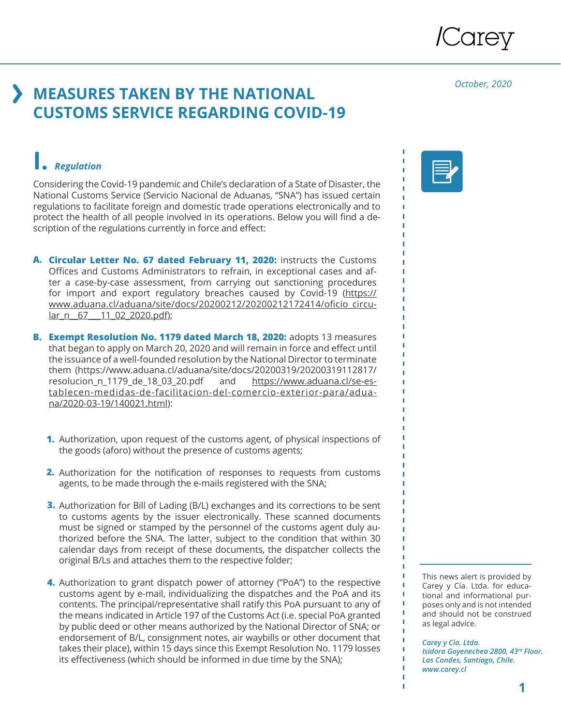

*October, 2020*

### **MEASURES TAKEN BY THE NATIONAL CUSTOMS SERVICE REGARDING COVID-19**

#### **I.** *Regulation*

Considering the Covid-19 pandemic and Chile's declaration of a State of Disaster, the National Customs Service (Servicio Nacional de Aduanas, "SNA") has issued certain regulations to facilitate foreign and domestic trade operations electronically and to protect the health of all people involved in its operations. Below you will find a description of the regulations currently in force and effect:

- **Circular Letter No. 67 dated February 11, 2020:** instructs the Customs **A.** Offices and Customs Administrators to refrain, in exceptional cases and after a case-by-case assessment, from carrying out sanctioning procedures for import and export regulatory breaches caused by Covid-19 (https:// www.aduana.cl/aduana/site/docs/20200212/20200212172414/oficio\_circular\_n 67 11\_02\_2020.pdf);
- **B. Exempt Resolution No. 1179 dated March 18, 2020: adopts 13 measures** that began to apply on March 20, 2020 and will remain in force and effect until the issuance of a well-founded resolution by the National Director to terminate them (https://www.aduana.cl/aduana/site/docs/20200319/20200319112817/ resolucion\_n\_1179\_de\_18\_03\_20.pdf and https://www.aduana.cl/se-establecen-medidas-de-facilitacion-del-comercio-exterior-para/aduana/2020-03-19/140021.html):
	- **1.** Authorization, upon request of the customs agent, of physical inspections of the goods (aforo) without the presence of customs agents;
	- Authorization for the notification of responses to requests from customs **2.** agents, to be made through the e-mails registered with the SNA;
	- **3.** Authorization for Bill of Lading (B/L) exchanges and its corrections to be sent to customs agents by the issuer electronically. These scanned documents must be signed or stamped by the personnel of the customs agent duly authorized before the SNA. The latter, subject to the condition that within 30 calendar days from receipt of these documents, the dispatcher collects the original B/Ls and attaches them to the respective folder;
	- **4.** Authorization to grant dispatch power of attorney ("PoA") to the respective customs agent by e-mail, individualizing the dispatches and the PoA and its contents. The principal/representative shall ratify this PoA pursuant to any of the means indicated in Article 197 of the Customs Act (i.e. special PoA granted by public deed or other means authorized by the National Director of SNA; or endorsement of B/L, consignment notes, air waybills or other document that takes their place), within 15 days since this Exempt Resolution No. 1179 losses its effectiveness (which should be informed in due time by the SNA);



This news alert is provided by Carey y Cía. Ltda. for educational and informational purposes only and is not intended and should not be construed as legal advice.

*Carey y Cía. Ltda. Isidora Goyenechea 2800, 43rd Floor. Las Condes, Santiago, Chile. www.carey.cl*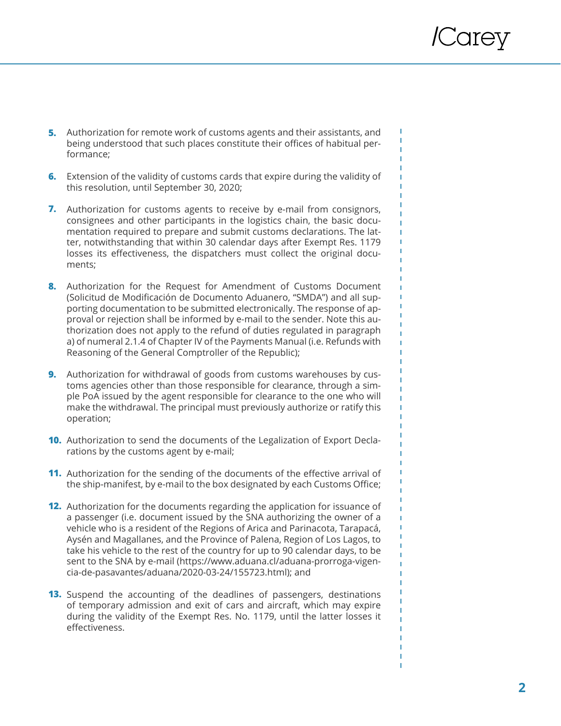п

Т T. Ï

- Authorization for remote work of customs agents and their assistants, and **5.** being understood that such places constitute their offices of habitual performance;
- Extension of the validity of customs cards that expire during the validity of **6.** this resolution, until September 30, 2020;
- **7.** Authorization for customs agents to receive by e-mail from consignors, consignees and other participants in the logistics chain, the basic documentation required to prepare and submit customs declarations. The latter, notwithstanding that within 30 calendar days after Exempt Res. 1179 losses its effectiveness, the dispatchers must collect the original documents;
- 8. Authorization for the Request for Amendment of Customs Document (Solicitud de Modificación de Documento Aduanero, "SMDA") and all supporting documentation to be submitted electronically. The response of approval or rejection shall be informed by e-mail to the sender. Note this authorization does not apply to the refund of duties regulated in paragraph a) of numeral 2.1.4 of Chapter IV of the Payments Manual (i.e. Refunds with Reasoning of the General Comptroller of the Republic);
- **9.** Authorization for withdrawal of goods from customs warehouses by customs agencies other than those responsible for clearance, through a simple PoA issued by the agent responsible for clearance to the one who will make the withdrawal. The principal must previously authorize or ratify this operation;
- **10.** Authorization to send the documents of the Legalization of Export Declarations by the customs agent by e-mail;
- **11.** Authorization for the sending of the documents of the effective arrival of the ship-manifest, by e-mail to the box designated by each Customs Office;
- **12.** Authorization for the documents regarding the application for issuance of a passenger (i.e. document issued by the SNA authorizing the owner of a vehicle who is a resident of the Regions of Arica and Parinacota, Tarapacá, Aysén and Magallanes, and the Province of Palena, Region of Los Lagos, to take his vehicle to the rest of the country for up to 90 calendar days, to be sent to the SNA by e-mail (https://www.aduana.cl/aduana-prorroga-vigencia-de-pasavantes/aduana/2020-03-24/155723.html); and
- **13.** Suspend the accounting of the deadlines of passengers, destinations of temporary admission and exit of cars and aircraft, which may expire during the validity of the Exempt Res. No. 1179, until the latter losses it effectiveness.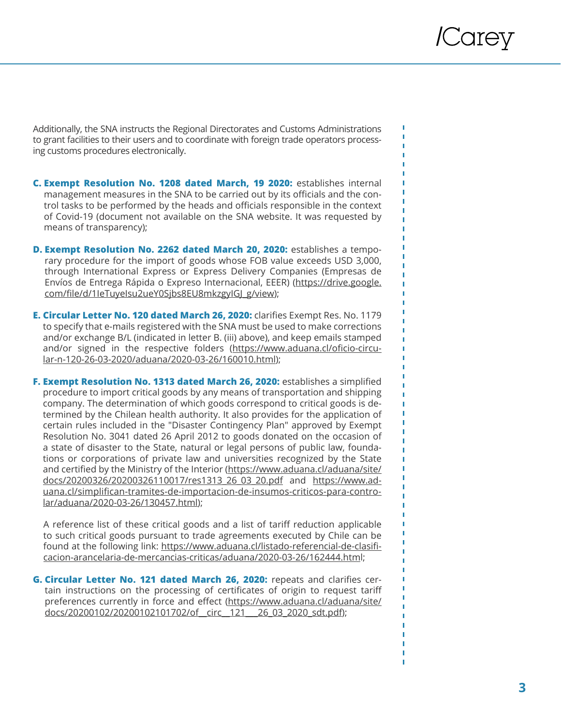Additionally, the SNA instructs the Regional Directorates and Customs Administrations to grant facilities to their users and to coordinate with foreign trade operators processing customs procedures electronically.

- **C. Exempt Resolution No. 1208 dated March, 19 2020:** establishes internal management measures in the SNA to be carried out by its officials and the control tasks to be performed by the heads and officials responsible in the context of Covid-19 (document not available on the SNA website. It was requested by means of transparency);
- **D. Exempt Resolution No. 2262 dated March 20, 2020:** establishes a temporary procedure for the import of goods whose FOB value exceeds USD 3,000, through International Express or Express Delivery Companies (Empresas de Envíos de Entrega Rápida o Expreso Internacional, EEER) (https://drive.google. com/file/d/1IeTuyeIsu2ueY0Sjbs8EU8mkzgyIGJ\_g/view);
- **E. Circular Letter No. 120 dated March 26, 2020:** clarifies Exempt Res. No. 1179 to specify that e-mails registered with the SNA must be used to make corrections and/or exchange B/L (indicated in letter B. (iii) above), and keep emails stamped and/or signed in the respective folders (https://www.aduana.cl/oficio-circular-n-120-26-03-2020/aduana/2020-03-26/160010.html);
- **F. Exempt Resolution No. 1313 dated March 26, 2020:** establishes a simplified procedure to import critical goods by any means of transportation and shipping company. The determination of which goods correspond to critical goods is determined by the Chilean health authority. It also provides for the application of certain rules included in the "Disaster Contingency Plan" approved by Exempt Resolution No. 3041 dated 26 April 2012 to goods donated on the occasion of a state of disaster to the State, natural or legal persons of public law, foundations or corporations of private law and universities recognized by the State and certified by the Ministry of the Interior (https://www.aduana.cl/aduana/site/ docs/20200326/20200326110017/res1313\_26\_03\_20.pdf and https://www.aduana.cl/simplifican-tramites-de-importacion-de-insumos-criticos-para-controlar/aduana/2020-03-26/130457.html);

A reference list of these critical goods and a list of tariff reduction applicable to such critical goods pursuant to trade agreements executed by Chile can be found at the following link: https://www.aduana.cl/listado-referencial-de-clasificacion-arancelaria-de-mercancias-criticas/aduana/2020-03-26/162444.html;

**G. Circular Letter No. 121 dated March 26, 2020:** repeats and clarifies certain instructions on the processing of certificates of origin to request tariff preferences currently in force and effect (https://www.aduana.cl/aduana/site/ docs/20200102/20200102101702/of\_\_circ\_\_121\_\_\_26\_03\_2020\_sdt.pdf);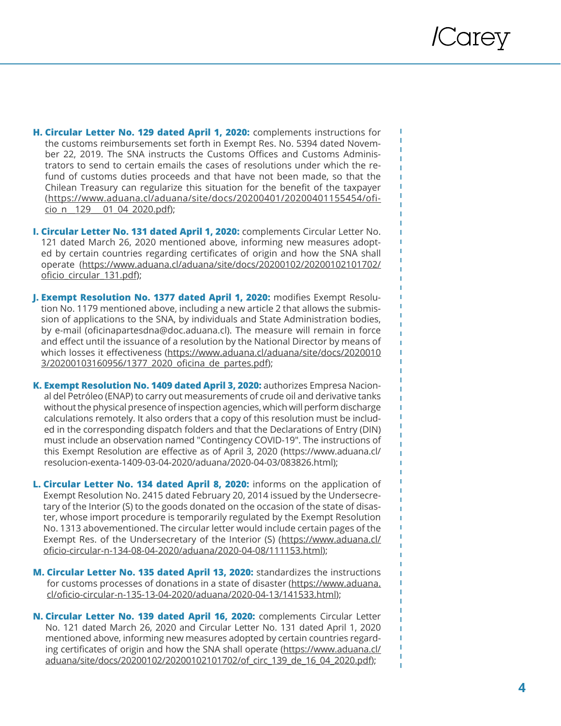f,

п

- **H. Circular Letter No. 129 dated April 1, 2020:** complements instructions for the customs reimbursements set forth in Exempt Res. No. 5394 dated November 22, 2019. The SNA instructs the Customs Offices and Customs Administrators to send to certain emails the cases of resolutions under which the refund of customs duties proceeds and that have not been made, so that the Chilean Treasury can regularize this situation for the benefit of the taxpayer (https://www.aduana.cl/aduana/site/docs/20200401/20200401155454/oficio\_n\_\_129\_\_\_01\_04\_2020.pdf);
- **I. Circular Letter No. 131 dated April 1, 2020:** complements Circular Letter No. 121 dated March 26, 2020 mentioned above, informing new measures adopted by certain countries regarding certificates of origin and how the SNA shall operate (https://www.aduana.cl/aduana/site/docs/20200102/20200102101702/ oficio\_circular\_131.pdf);
- **J. Exempt Resolution No. 1377 dated April 1, 2020:** modifies Exempt Resolution No. 1179 mentioned above, including a new article 2 that allows the submission of applications to the SNA, by individuals and State Administration bodies, by e-mail (oficinapartesdna@doc.aduana.cl). The measure will remain in force and effect until the issuance of a resolution by the National Director by means of which losses it effectiveness (https://www.aduana.cl/aduana/site/docs/2020010 3/20200103160956/1377\_2020\_oficina\_de\_partes.pdf);
- **K. Exempt Resolution No. 1409 dated April 3, 2020:** authorizes Empresa Nacional del Petróleo (ENAP) to carry out measurements of crude oil and derivative tanks without the physical presence of inspection agencies, which will perform discharge calculations remotely. It also orders that a copy of this resolution must be included in the corresponding dispatch folders and that the Declarations of Entry (DIN) must include an observation named "Contingency COVID-19". The instructions of this Exempt Resolution are effective as of April 3, 2020 (https://www.aduana.cl/ resolucion-exenta-1409-03-04-2020/aduana/2020-04-03/083826.html);
- **L. Circular Letter No. 134 dated April 8, 2020:** informs on the application of Exempt Resolution No. 2415 dated February 20, 2014 issued by the Undersecretary of the Interior (S) to the goods donated on the occasion of the state of disaster, whose import procedure is temporarily regulated by the Exempt Resolution No. 1313 abovementioned. The circular letter would include certain pages of the Exempt Res. of the Undersecretary of the Interior (S) (https://www.aduana.cl/ oficio-circular-n-134-08-04-2020/aduana/2020-04-08/111153.html);
- **M. Circular Letter No. 135 dated April 13, 2020:** standardizes the instructions for customs processes of donations in a state of disaster (https://www.aduana. cl/oficio-circular-n-135-13-04-2020/aduana/2020-04-13/141533.html);
- **N. Circular Letter No. 139 dated April 16, 2020:** complements Circular Letter No. 121 dated March 26, 2020 and Circular Letter No. 131 dated April 1, 2020 mentioned above, informing new measures adopted by certain countries regarding certificates of origin and how the SNA shall operate (https://www.aduana.cl/ aduana/site/docs/20200102/20200102101702/of\_circ\_139\_de\_16\_04\_2020.pdf);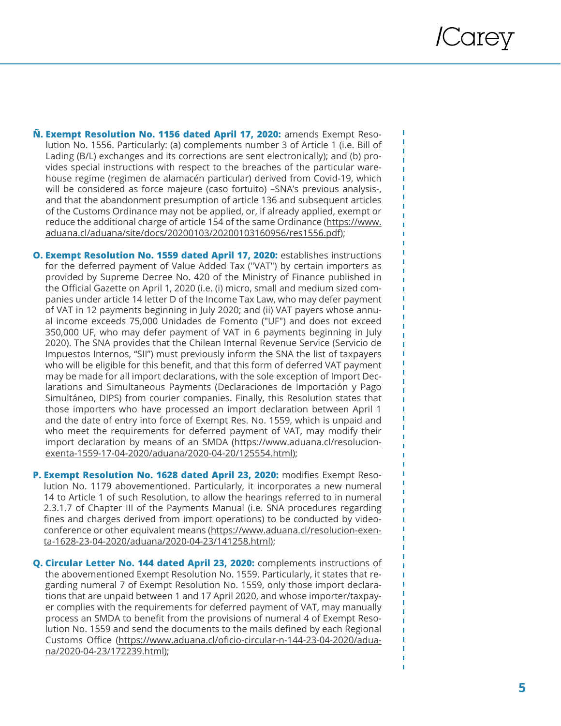П

п I

- **Ñ. Exempt Resolution No. 1156 dated April 17, 2020:** amends Exempt Reso lution No. 1556. Particularly: (a) complements number 3 of Article 1 (i.e. Bill of Lading (B/L) exchanges and its corrections are sent electronically); and (b) pro vides special instructions with respect to the breaches of the particular ware house regime (regimen de alamacén particular) derived from Covid-19, which will be considered as force majeure (caso fortuito) –SNA's previous analysis-, and that the abandonment presumption of article 136 and subsequent articles of the Customs Ordinance may not be applied, or, if already applied, exempt or reduce the additional charge of article 154 of the same Ordinance (https://www. aduana.cl/aduana/site/docs/20200103/20200103160956/res1556.pdf);
- **O. Exempt Resolution No. 1559 dated April 17, 2020: establishes instructions** for the deferred payment of Value Added Tax ("VAT") by certain importers as provided by Supreme Decree No. 420 of the Ministry of Finance published in the Official Gazette on April 1, 2020 (i.e. (i) micro, small and medium sized com panies under article 14 letter D of the Income Tax Law, who may defer payment of VAT in 12 payments beginning in July 2020; and (ii) VAT payers whose annu al income exceeds 75,000 Unidades de Fomento ("UF") and does not exceed 350,000 UF, who may defer payment of VAT in 6 payments beginning in July 2020). The SNA provides that the Chilean Internal Revenue Service (Servicio de Impuestos Internos, "SII") must previously inform the SNA the list of taxpayers who will be eligible for this benefit, and that this form of deferred VAT payment may be made for all import declarations, with the sole exception of Import Dec larations and Simultaneous Payments (Declaraciones de Importación y Pago Simultáneo, DIPS) from courier companies. Finally, this Resolution states that those importers who have processed an import declaration between April 1 and the date of entry into force of Exempt Res. No. 1559, which is unpaid and who meet the requirements for deferred payment of VAT, may modify their import declaration by means of an SMDA (https://www.aduana.cl/resolucionexenta-1559-17-04-2020/aduana/2020-04-20/125554.html);
- **P. Exempt Resolution No. 1628 dated April 23, 2020:** modifies Exempt Reso lution No. 1179 abovementioned. Particularly, it incorporates a new numeral 14 to Article 1 of such Resolution, to allow the hearings referred to in numeral 2.3.1.7 of Chapter III of the Payments Manual (i.e. SNA procedures regarding fines and charges derived from import operations) to be conducted by video conference or other equivalent means (https://www.aduana.cl/resolucion-exenta-1628-23-04-2020/aduana/2020-04-23/141258.html);
- **Q. Circular Letter No. 144 dated April 23, 2020:** complements instructions of the abovementioned Exempt Resolution No. 1559. Particularly, it states that re garding numeral 7 of Exempt Resolution No. 1559, only those import declara tions that are unpaid between 1 and 17 April 2020, and whose importer/taxpay er complies with the requirements for deferred payment of VAT, may manually process an SMDA to benefit from the provisions of numeral 4 of Exempt Reso lution No. 1559 and send the documents to the mails defined by each Regional Customs Office (https://www.aduana.cl/oficio-circular-n-144-23-04-2020/aduana/2020-04-23/172239.html);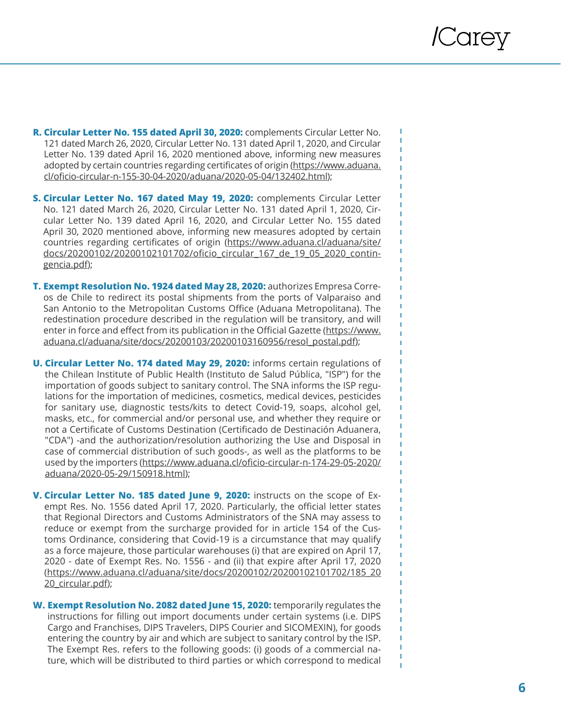п

т

- **R. Circular Letter No. 155 dated April 30, 2020:** complements Circular Letter No. 121 dated March 26, 2020, Circular Letter No. 131 dated April 1, 2020, and Circular Letter No. 139 dated April 16, 2020 mentioned above, informing new measures adopted by certain countries regarding certificates of origin (https://www.aduana. cl/oficio-circular-n-155-30-04-2020/aduana/2020-05-04/132402.htm l);
- **S. Circular Letter No. 167 dated May 19, 2020:** complements Circular Letter No. 121 dated March 26, 2020, Circular Letter No. 131 dated April 1, 2020, Cir cular Letter No. 139 dated April 16, 2020, and Circular Letter No. 155 dated April 30, 2020 mentioned above, informing new measures adopted by certain countries regarding certificates of origin (https://www.aduana.cl/aduana/site/ docs/20200102/20200102101702/oficio\_circular\_167\_de\_19\_05\_2020\_contin gencia.pdf);
- **T. Exempt Resolution No. 1924 dated May 28, 2020:** authorizes Empresa Corre os de Chile to redirect its postal shipments from the ports of Valparaiso and San Antonio to the Metropolitan Customs Office (Aduana Metropolitana). The redestination procedure described in the regulation will be transitory, and will enter in force and effect from its publication in the Official Gazette (https://www. aduana.cl/aduana/site/docs/20200103/20200103160956/resol\_postal.pdf);
- **U. Circular Letter No. 174 dated May 29, 2020:** informs certain regulations of the Chilean Institute of Public Health (Instituto de Salud Pública, "ISP") for the importation of goods subject to sanitary control. The SNA informs the ISP regu lations for the importation of medicines, cosmetics, medical devices, pesticides for sanitary use, diagnostic tests/kits to detect Covid-19, soaps, alcohol gel, masks, etc., for commercial and/or personal use, and whether they require or not a Certificate of Customs Destination (Certificado de Destinación Aduanera, "CDA") -and the authorization/resolution authorizing the Use and Disposal in case of commercial distribution of such goods-, as well as the platforms to be used by the importers (https://www.aduana.cl/oficio-circular-n-174-29-05-2020/ aduana/2020-05-29/150918.html);
- **V. Circular Letter No. 185 dated June 9, 2020:** instructs on the scope of Ex empt Res. No. 1556 dated April 17, 2020. Particularly, the official letter states that Regional Directors and Customs Administrators of the SNA may assess to reduce or exempt from the surcharge provided for in article 154 of the Cus toms Ordinance, considering that Covid-19 is a circumstance that may qualify as a force majeure, those particular warehouses (i) that are expired on April 17, 2020 - date of Exempt Res. No. 1556 - and (ii) that expire after April 17, 2020 (https://www.aduana.cl/aduana/site/docs/20200102/20200102101702/185\_20 20\_circular.pdf);
- **W. Exempt Resolution No. 2082 dated June 15, 2020:** temporarily regulates the instructions for filling out import documents under certain systems (i.e. DIPS Cargo and Franchises, DIPS Travelers, DIPS Courier and SICOMEXIN), for goods entering the country by air and which are subject to sanitary control by the ISP. The Exempt Res. refers to the following goods: (i) goods of a commercial na ture, which will be distributed to third parties or which correspond to medical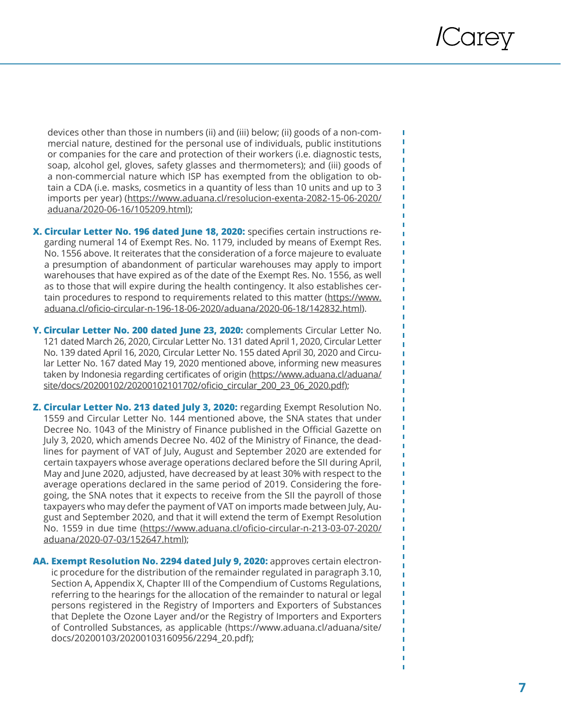П f,

п п

devices other than those in numbers (ii) and (iii) below; (ii) goods of a non-commercial nature, destined for the personal use of individuals, public institutions or companies for the care and protection of their workers (i.e. diagnostic tests, soap, alcohol gel, gloves, safety glasses and thermometers); and (iii) goods of a non-commercial nature which ISP has exempted from the obligation to obtain a CDA (i.e. masks, cosmetics in a quantity of less than 10 units and up to 3 imports per year) (https://www.aduana.cl/resolucion-exenta-2082-15-06-2020/ aduana/2020-06-16/105209.html);

- **X. Circular Letter No. 196 dated June 18, 2020:** specifies certain instructions regarding numeral 14 of Exempt Res. No. 1179, included by means of Exempt Res. No. 1556 above. It reiterates that the consideration of a force majeure to evaluate a presumption of abandonment of particular warehouses may apply to import warehouses that have expired as of the date of the Exempt Res. No. 1556, as well as to those that will expire during the health contingency. It also establishes certain procedures to respond to requirements related to this matter (https://www. aduana.cl/oficio-circular-n-196-18-06-2020/aduana/2020-06-18/142832.html).
- **Y. Circular Letter No. 200 dated June 23, 2020:** complements Circular Letter No. 121 dated March 26, 2020, Circular Letter No. 131 dated April 1, 2020, Circular Letter No. 139 dated April 16, 2020, Circular Letter No. 155 dated April 30, 2020 and Circular Letter No. 167 dated May 19, 2020 mentioned above, informing new measures taken by Indonesia regarding certificates of origin (https://www.aduana.cl/aduana/ site/docs/20200102/20200102101702/oficio\_circular\_200\_23\_06\_2020.pdf);
- **Z. Circular Letter No. 213 dated July 3, 2020:** regarding Exempt Resolution No. 1559 and Circular Letter No. 144 mentioned above, the SNA states that under Decree No. 1043 of the Ministry of Finance published in the Official Gazette on July 3, 2020, which amends Decree No. 402 of the Ministry of Finance, the deadlines for payment of VAT of July, August and September 2020 are extended for certain taxpayers whose average operations declared before the SII during April, May and June 2020, adjusted, have decreased by at least 30% with respect to the average operations declared in the same period of 2019. Considering the foregoing, the SNA notes that it expects to receive from the SII the payroll of those taxpayers who may defer the payment of VAT on imports made between July, August and September 2020, and that it will extend the term of Exempt Resolution No. 1559 in due time (https://www.aduana.cl/oficio-circular-n-213-03-07-2020/ aduana/2020-07-03/152647.html);
- **AA. Exempt Resolution No. 2294 dated July 9, 2020:** approves certain electronic procedure for the distribution of the remainder regulated in paragraph 3.10, Section A, Appendix X, Chapter III of the Compendium of Customs Regulations, referring to the hearings for the allocation of the remainder to natural or legal persons registered in the Registry of Importers and Exporters of Substances that Deplete the Ozone Layer and/or the Registry of Importers and Exporters of Controlled Substances, as applicable (https://www.aduana.cl/aduana/site/ docs/20200103/20200103160956/2294\_20.pdf);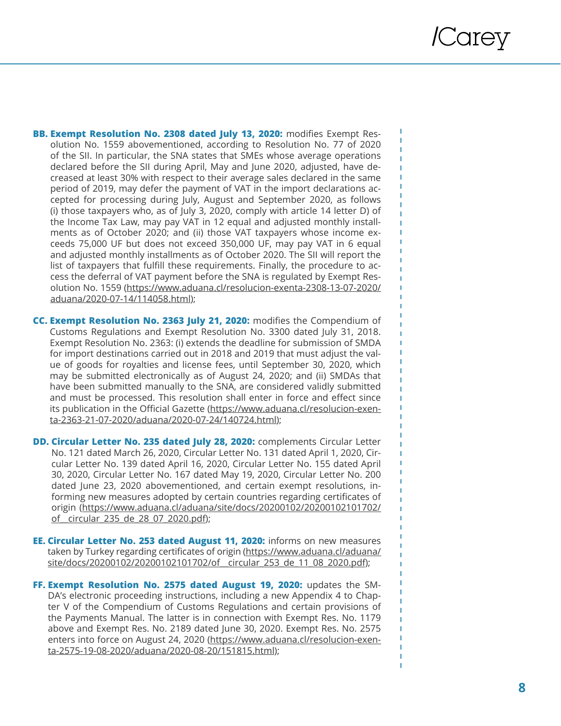п

п

T. f.

- **BB. Exempt Resolution No. 2308 dated July 13, 2020:** modifies Exempt Res olution No. 1559 abovementioned, according to Resolution No. 77 of 2020 of the SII. In particular, the SNA states that SMEs whose average operations declared before the SII during April, May and June 2020, adjusted, have de creased at least 30% with respect to their average sales declared in the same period of 2019, may defer the payment of VAT in the import declarations ac cepted for processing during July, August and September 2020, as follows (i) those taxpayers who, as of July 3, 2020, comply with article 14 letter D) of the Income Tax Law, may pay VAT in 12 equal and adjusted monthly install ments as of October 2020; and (ii) those VAT taxpayers whose income ex ceeds 75,000 UF but does not exceed 350,000 UF, may pay VAT in 6 equal and adjusted monthly installments as of October 2020. The SII will report the list of taxpayers that fulfill these requirements. Finally, the procedure to ac cess the deferral of VAT payment before the SNA is regulated by Exempt Res olution No. 1559 (https://www.aduana.cl/resolucion-exenta-2308-13-07-2020/ aduana/2020-07-14/114058.html);
- **CC. Exempt Resolution No. 2363 July 21, 2020:** modifies the Compendium of Customs Regulations and Exempt Resolution No. 3300 dated July 31, 2018. Exempt Resolution No. 2363: (i) extends the deadline for submission of SMDA for import destinations carried out in 2018 and 2019 that must adjust the val ue of goods for royalties and license fees, until September 30, 2020, which may be submitted electronically as of August 24, 2020; and (ii) SMDAs that have been submitted manually to the SNA, are considered validly submitted and must be processed. This resolution shall enter in force and effect since its publication in the Official Gazette (<u>https://www.aduana.cl/resolucion-exen-</u> ta-2363-21-07-2020/aduana/2020-07-24/140724.html);
- **DD. Circular Letter No. 235 dated July 28, 2020:** complements Circular Letter No. 121 dated March 26, 2020, Circular Letter No. 131 dated April 1, 2020, Cir cular Letter No. 139 dated April 16, 2020, Circular Letter No. 155 dated April 30, 2020, Circular Letter No. 167 dated May 19, 2020, Circular Letter No. 200 dated June 23, 2020 abovementioned, and certain exempt resolutions, in forming new measures adopted by certain countries regarding certificates of origin (https://www.aduana.cl/aduana/site/docs/20200102/20200102101702/ of circular 235 de 28 07 2020.pdf);
- **EE. Circular Letter No. 253 dated August 11, 2020:** informs on new measures taken by Turkey regarding certificates of origin (https://www.aduana.cl/aduana/ site/docs/20200102/20200102101702/of circular\_253\_de\_11\_08\_2020.pdf);
- **FF. Exempt Resolution No. 2575 dated August 19, 2020:** updates the SM DA's electronic proceeding instructions, including a new Appendix 4 to Chap ter V of the Compendium of Customs Regulations and certain provisions of the Payments Manual. The latter is in connection with Exempt Res. No. 1179 above and Exempt Res. No. 2189 dated June 30, 2020. Exempt Res. No. 2575 enters into force on August 24, 2020 (https://www.aduana.cl/resolucion-exenta-2575-19-08-2020/aduana/2020-08-20/151815.html);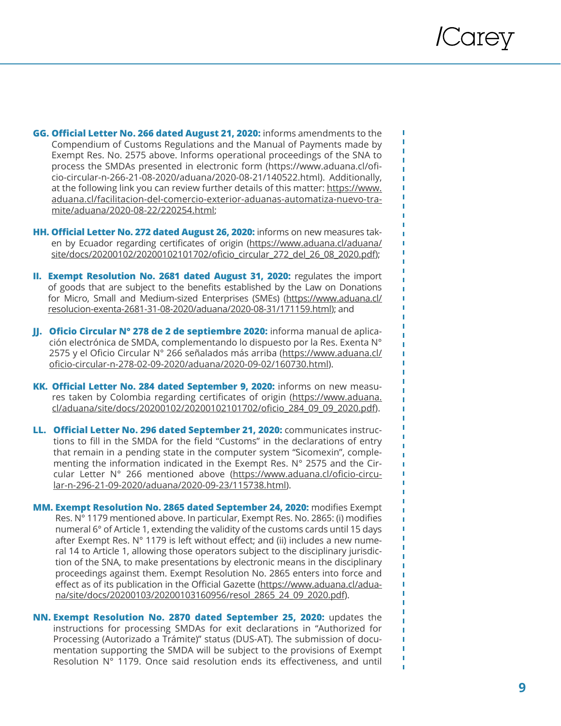П f,

Ï T f,

- **GG. Official Letter No. 266 dated August 21, 2020:** informs amendments to the Compendium of Customs Regulations and the Manual of Payments made by Exempt Res. No. 2575 above. Informs operational proceedings of the SNA to process the SMDAs presented in electronic form (https://www.aduana.cl/oficio-circular-n-266-21-08-2020/aduana/2020-08-21/140522.html). Additionally, at the following link you can review further details of this matter: https://www. aduana.cl/facilitacion-del-comercio-exterior-aduanas-automatiza-nuevo-tramite/aduana/2020-08-22/220254.html;
- **HH. Official Letter No. 272 dated August 26, 2020:** informs on new measures taken by Ecuador regarding certificates of origin (https://www.aduana.cl/aduana/ site/docs/20200102/20200102101702/oficio\_circular\_272\_del\_26\_08\_2020.pdf);
- **II. Exempt Resolution No. 2681 dated August 31, 2020:** regulates the import of goods that are subject to the benefits established by the Law on Donations for Micro, Small and Medium-sized Enterprises (SMEs) (https://www.aduana.cl/ resolucion-exenta-2681-31-08-2020/aduana/2020-08-31/171159.html); and
- **JJ. Oficio Circular N° 278 de 2 de septiembre 2020:** informa manual de aplicación electrónica de SMDA, complementando lo dispuesto por la Res. Exenta N° 2575 y el Oficio Circular N° 266 señalados más arriba (https://www.aduana.cl/ oficio-circular-n-278-02-09-2020/aduana/2020-09-02/160730.html).
- **KK. Official Letter No. 284 dated September 9, 2020:** informs on new measures taken by Colombia regarding certificates of origin (https://www.aduana. cl/aduana/site/docs/20200102/20200102101702/oficio\_284\_09\_09\_2020.pdf).
- **LL. Official Letter No. 296 dated September 21, 2020:** communicates instructions to fill in the SMDA for the field "Customs" in the declarations of entry that remain in a pending state in the computer system "Sicomexin", complementing the information indicated in the Exempt Res. N° 2575 and the Circular Letter N° 266 mentioned above (https://www.aduana.cl/oficio-circular-n-296-21-09-2020/aduana/2020-09-23/115738.html).
- **MM. Exempt Resolution No. 2865 dated September 24, 2020:** modifies Exempt Res. N° 1179 mentioned above. In particular, Exempt Res. No. 2865: (i) modifies numeral 6° of Article 1, extending the validity of the customs cards until 15 days after Exempt Res. N° 1179 is left without effect; and (ii) includes a new numeral 14 to Article 1, allowing those operators subject to the disciplinary jurisdiction of the SNA, to make presentations by electronic means in the disciplinary proceedings against them. Exempt Resolution No. 2865 enters into force and effect as of its publication in the Official Gazette (https://www.aduana.cl/aduana/site/docs/20200103/20200103160956/resol\_2865\_24\_09\_2020.pdf).
- **NN. Exempt Resolution No. 2870 dated September 25, 2020:** updates the instructions for processing SMDAs for exit declarations in "Authorized for Processing (Autorizado a Trámite)" status (DUS-AT). The submission of documentation supporting the SMDA will be subject to the provisions of Exempt Resolution N° 1179. Once said resolution ends its effectiveness, and until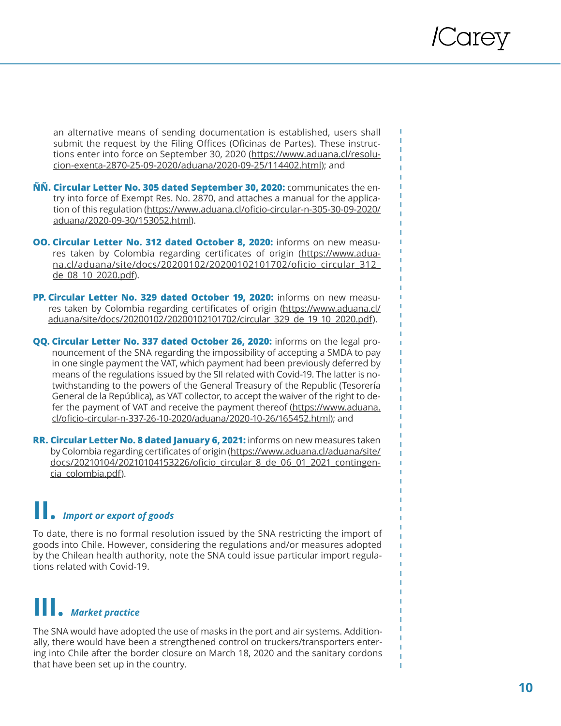f,

f.

an alternative means of sending documentation is established, users shall submit the request by the Filing Offices (Oficinas de Partes). These instructions enter into force on September 30, 2020 (https://www.aduana.cl/resolucion-exenta-2870-25-09-2020/aduana/2020-09-25/114402.html); and

- **ÑÑ. Circular Letter No. 305 dated September 30, 2020:** communicates the entry into force of Exempt Res. No. 2870, and attaches a manual for the application of this regulation (https://www.aduana.cl/oficio-circular-n-305-30-09-2020/ aduana/2020-09-30/153052.html).
- **OO. Circular Letter No. 312 dated October 8, 2020:** informs on new measures taken by Colombia regarding certificates of origin (https://www.aduana.cl/aduana/site/docs/20200102/20200102101702/oficio\_circular\_312\_ de\_08\_10\_2020.pdf).
- **PP. Circular Letter No. 329 dated October 19, 2020:** informs on new measures taken by Colombia regarding certificates of origin (https://www.aduana.cl/ aduana/site/docs/20200102/20200102101702/circular\_329\_de\_19\_10\_2020.pdf).
- **QQ. Circular Letter No. 337 dated October 26, 2020:** informs on the legal pronouncement of the SNA regarding the impossibility of accepting a SMDA to pay in one single payment the VAT, which payment had been previously deferred by means of the regulations issued by the SII related with Covid-19. The latter is notwithstanding to the powers of the General Treasury of the Republic (Tesorería General de la República), as VAT collector, to accept the waiver of the right to defer the payment of VAT and receive the payment thereof ([https://www.aduana.](https://www.aduana.cl/oficio-circular-n-337-26-10-2020/aduana/2020-10-26/165452.html) [cl/oficio-circular-n-337-26-10-2020/aduana/2020-10-26/165452.html](https://www.aduana.cl/oficio-circular-n-337-26-10-2020/aduana/2020-10-26/165452.html)); and
- **RR. Circular Letter No. 8 dated January 6, 2021:** informs on new measures taken by Colombia regarding certificates of origin ([https://www.aduana.cl/aduana/site/](https://www.aduana.cl/aduana/site/docs/20210104/20210104153226/oficio_circular_8_de_06_01_2021_contingencia_colombia.pdf) [docs/20210104/20210104153226/oficio\\_circular\\_8\\_de\\_06\\_01\\_2021\\_contingen](https://www.aduana.cl/aduana/site/docs/20210104/20210104153226/oficio_circular_8_de_06_01_2021_contingencia_colombia.pdf)[cia\\_colombia.pdf](https://www.aduana.cl/aduana/site/docs/20210104/20210104153226/oficio_circular_8_de_06_01_2021_contingencia_colombia.pdf)).

### **II.** *Import or export of goods*

To date, there is no formal resolution issued by the SNA restricting the import of goods into Chile. However, considering the regulations and/or measures adopted by the Chilean health authority, note the SNA could issue particular import regulations related with Covid-19.

## **III.** *Market practice*

The SNA would have adopted the use of masks in the port and air systems. Additionally, there would have been a strengthened control on truckers/transporters entering into Chile after the border closure on March 18, 2020 and the sanitary cordons that have been set up in the country.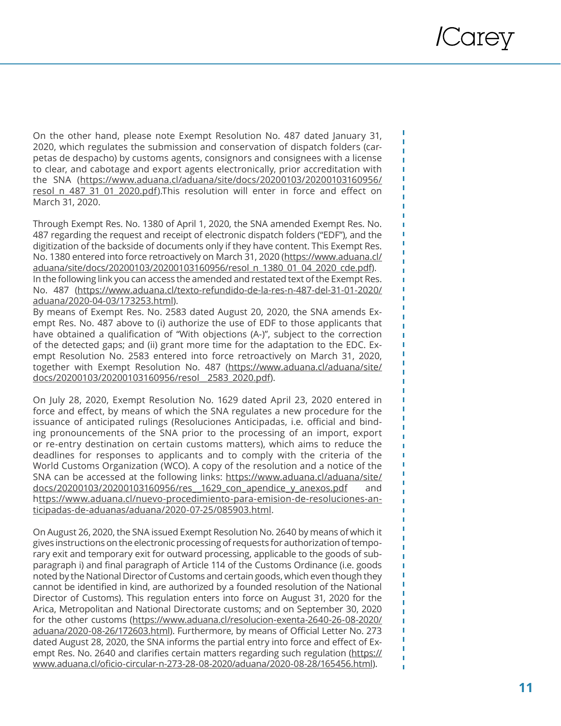On the other hand, please note Exempt Resolution No. 487 dated January 31, 2020, which regulates the submission and conservation of dispatch folders (car petas de despacho) by customs agents, consignors and consignees with a license to clear, and cabotage and export agents electronically, prior accreditation with the SNA (https://www.aduana.cl/aduana/site/docs/20200103/20200103160956/ resol\_n\_487\_31\_01\_2020.pdf).This resolution will enter in force and effect on March 31, 2020.

Through Exempt Res. No. 1380 of April 1, 2020, the SNA amended Exempt Res. No. 487 regarding the request and receipt of electronic dispatch folders ("EDF"), and the digitization of the backside of documents only if they have content. This Exempt Res. No. 1380 entered into force retroactively on March 31, 2020 (https://www.aduana.cl/ aduana/site/docs/20200103/20200103160956/resol\_n\_1380\_01\_04\_2020\_cde.pdf). In the following link you can access the amended and restated text of the Exempt Res. No. 487 (https://www.aduana.cl/texto-refundido-de-la-res-n-487-del-31-01-2020/ aduana/2020-04-03/173253.html).

By means of Exempt Res. No. 2583 dated August 20, 2020, the SNA amends Ex empt Res. No. 487 above to (i) authorize the use of EDF to those applicants that have obtained a qualification of "With objections (A-)", subject to the correction of the detected gaps; and (ii) grant more time for the adaptation to the EDC. Ex empt Resolution No. 2583 entered into force retroactively on March 31, 2020, together with Exempt Resolution No. 487 (https://www.aduana.cl/aduana/site/ docs/20200103/20200103160956/resol\_\_2583\_2020.pdf).

On July 28, 2020, Exempt Resolution No. 1629 dated April 23, 2020 entered in force and effect, by means of which the SNA regulates a new procedure for the issuance of anticipated rulings (Resoluciones Anticipadas, i.e. official and bind ing pronouncements of the SNA prior to the processing of an import, export or re-entry destination on certain customs matters), which aims to reduce the deadlines for responses to applicants and to comply with the criteria of the World Customs Organization (WCO). A copy of the resolution and a notice of the SNA can be accessed at the following links: https://www.aduana.cl/aduana/site/ docs/20200103/20200103160956/res\_1629\_con\_apendice\_y\_anexos.pdf and https://www.aduana.cl/nuevo-procedimiento-para-emision-de-resoluciones-anticipadas-de-aduanas/aduana/2020-07-25/085903.html.

On August 26, 2020, the SNA issued Exempt Resolution No. 2640 by means of which it gives instructions on the electronic processing of requests for authorization of tempo rary exit and temporary exit for outward processing, applicable to the goods of sub paragraph i) and final paragraph of Article 114 of the Customs Ordinance (i.e. goods noted by the National Director of Customs and certain goods, which even though they cannot be identified in kind, are authorized by a founded resolution of the National Director of Customs). This regulation enters into force on August 31, 2020 for the Arica, Metropolitan and National Directorate customs; and on September 30, 2020 for the other customs (https://www.aduana.cl/resolucion-exenta-2640-26-08-2020/ aduana/2020-08-26/172603.html). Furthermore, by means of Official Letter No. 273 dated August 28, 2020, the SNA informs the partial entry into force and effect of Ex empt Res. No. 2640 and clarifies certain matters regarding such regulation (https:// www.aduana.cl/oficio-circular-n-273-28-08-2020/aduana/2020-08-28/165456.html).

п